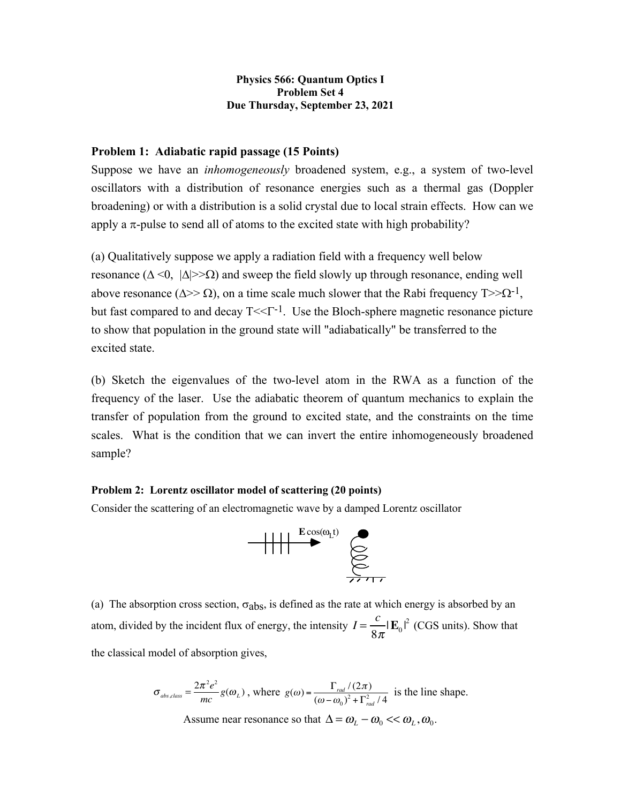## **Physics 566: Quantum Optics I Problem Set 4 Due Thursday, September 23, 2021**

## **Problem 1: Adiabatic rapid passage (15 Points)**

Suppose we have an *inhomogeneously* broadened system, e.g., a system of two-level oscillators with a distribution of resonance energies such as a thermal gas (Doppler broadening) or with a distribution is a solid crystal due to local strain effects. How can we apply a  $\pi$ -pulse to send all of atoms to the excited state with high probability?

(a) Qualitatively suppose we apply a radiation field with a frequency well below resonance ( $\Delta \le 0$ ,  $|\Delta| \gg \Omega$ ) and sweep the field slowly up through resonance, ending well above resonance ( $\Delta \gg \Omega$ ), on a time scale much slower that the Rabi frequency  $T >> \Omega^{-1}$ , but fast compared to and decay  $T \leq T^{-1}$ . Use the Bloch-sphere magnetic resonance picture to show that population in the ground state will "adiabatically" be transferred to the excited state.

(b) Sketch the eigenvalues of the two-level atom in the RWA as a function of the frequency of the laser. Use the adiabatic theorem of quantum mechanics to explain the transfer of population from the ground to excited state, and the constraints on the time scales. What is the condition that we can invert the entire inhomogeneously broadened sample?

## **Problem 2: Lorentz oscillator model of scattering (20 points)**

Consider the scattering of an electromagnetic wave by a damped Lorentz oscillator



(a) The absorption cross section,  $\sigma_{\text{abs}}$ , is defined as the rate at which energy is absorbed by an atom, divided by the incident flux of energy, the intensity  $I = \frac{c}{\epsilon_0} |\mathbf{E}_0|^2$  (CGS units). Show that the classical model of absorption gives,  $\frac{\epsilon}{8\pi}$  $|\mathbf{E}_0|^2$ 

$$
\sigma_{\text{abs, class}} = \frac{2\pi^2 e^2}{mc} g(\omega_L) \text{, where } g(\omega) = \frac{\Gamma_{\text{rad}}/(2\pi)}{(\omega - \omega_0)^2 + \Gamma_{\text{rad}}^2/4} \text{ is the line shape.}
$$

Assume near resonance so that  $\Delta = \omega_L - \omega_0 \ll \omega_L, \omega_0$ .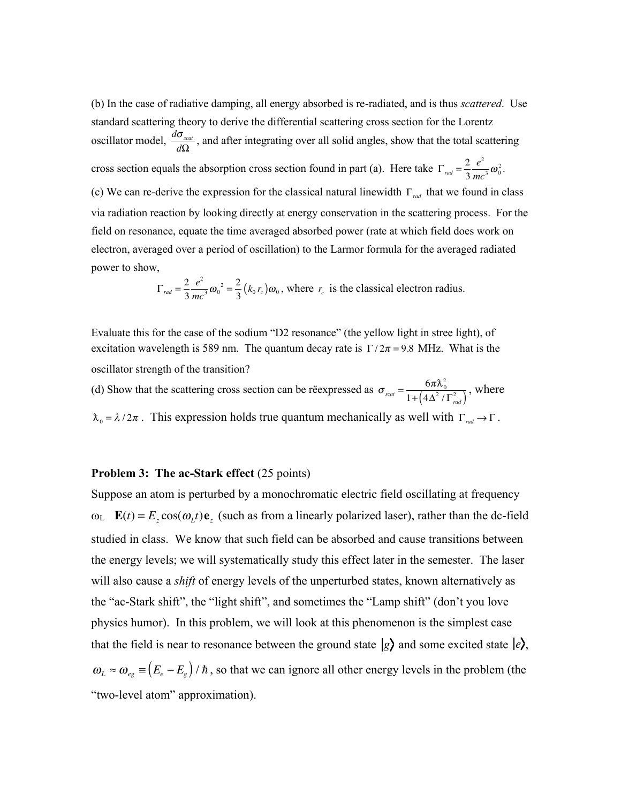(b) In the case of radiative damping, all energy absorbed is re-radiated, and is thus *scattered*. Use standard scattering theory to derive the differential scattering cross section for the Lorentz oscillator model,  $\frac{d\sigma_{\text{scat}}}{d\sigma_{\text{scat}}}$ , and after integrating over all solid angles, show that the total scattering cross section equals the absorption cross section found in part (a). Here take  $\Gamma_{rad} = \frac{2}{3}$ (c) We can re-derive the expression for the classical natural linewidth  $\Gamma_{rad}$  that we found in class via radiation reaction by looking directly at energy conservation in the scattering process. For the field on resonance, equate the time averaged absorbed power (rate at which field does work on electron, averaged over a period of oscillation) to the Larmor formula for the averaged radiated power to show, *d*Ω  $e^2$  $\frac{e}{mc^3}\omega_0^2$ .

$$
\Gamma_{rad} = \frac{2}{3} \frac{e^2}{mc^3} \omega_0^2 = \frac{2}{3} (k_0 r_c) \omega_0
$$
, where  $r_c$  is the classical electron radius.

Evaluate this for the case of the sodium "D2 resonance" (the yellow light in stree light), of excitation wavelength is 589 nm. The quantum decay rate is  $\Gamma/2\pi = 9.8$  MHz. What is the oscillator strength of the transition?

(d) Show that the scattering cross section can be reexpressed as  $\sigma_{\text{scat}} = \frac{6\pi\lambda_0^2}{1 + (4\lambda_0^2 + \Gamma^2)}$ , where  $\lambda_0 = \lambda / 2\pi$ . This expression holds true quantum mechanically as well with  $\Gamma_{rad} \rightarrow \Gamma$ .  $1 + (4\Delta^2/\Gamma_{rad}^2)$ 

## **Problem 3: The ac-Stark effect** (25 points)

Suppose an atom is perturbed by a monochromatic electric field oscillating at frequency  $\omega_L$   $\mathbf{E}(t) = E_z \cos(\omega_L t) \mathbf{e}_z$  (such as from a linearly polarized laser), rather than the dc-field studied in class. We know that such field can be absorbed and cause transitions between the energy levels; we will systematically study this effect later in the semester. The laser will also cause a *shift* of energy levels of the unperturbed states, known alternatively as the "ac-Stark shift", the "light shift", and sometimes the "Lamp shift" (don't you love physics humor). In this problem, we will look at this phenomenon is the simplest case that the field is near to resonance between the ground state  $|g\rangle$  and some excited state  $|e\rangle$ ,  $\omega_L \approx \omega_{eg} \equiv (E_e - E_g) / \hbar$ , so that we can ignore all other energy levels in the problem (the "two-level atom" approximation).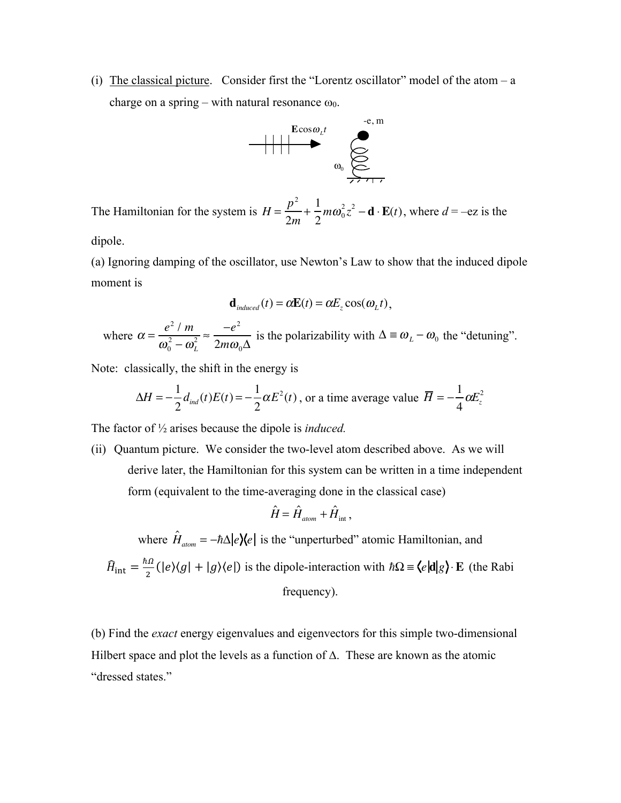(i) The classical picture. Consider first the "Lorentz oscillator" model of the atom  $-$  a charge on a spring – with natural resonance  $\omega_0$ .



The Hamiltonian for the system is  $H = \frac{p^2}{2} + \frac{1}{2} m \omega_0^2 z^2 - d \cdot E(t)$ , where  $d = -e$ z is the 2*m*  $+\frac{1}{2}$  $\frac{1}{2}m\omega_0^2z^2 - \mathbf{d}\cdot\mathbf{E}(t)$ 

dipole.

(a) Ignoring damping of the oscillator, use Newton's Law to show that the induced dipole moment is

$$
\mathbf{d}_{induced}(t) = \alpha \mathbf{E}(t) = \alpha E_z \cos(\omega_L t),
$$

where 
$$
\alpha = \frac{e^2 / m}{\omega_0^2 - \omega_L^2} \approx \frac{-e^2}{2m\omega_0\Delta}
$$
 is the polarizability with  $\Delta \equiv \omega_L - \omega_0$  the "detuning".

Note: classically, the shift in the energy is

$$
\Delta H = -\frac{1}{2} d_{ind}(t) E(t) = -\frac{1}{2} \alpha E^2(t)
$$
, or a time average value  $\overline{H} = -\frac{1}{4} \alpha E_z^2$ 

The factor of ½ arises because the dipole is *induced.*

(ii) Quantum picture. We consider the two-level atom described above. As we will derive later, the Hamiltonian for this system can be written in a time independent form (equivalent to the time-averaging done in the classical case)

$$
\hat{H} = \hat{H}_{atom} + \hat{H}_{int},
$$

where  $\hat{H}_{atom} = -\hbar\Delta|e\rangle\langle e|$  is the "unperturbed" atomic Hamiltonian, and  $\widehat{H}_{int} = \frac{\hbar \Omega}{2} (|e\rangle \langle g| + |g\rangle \langle e|)$  is the dipole-interaction with  $\hbar \Omega = \langle e|d|g\rangle \cdot E$  (the Rabi frequency).

(b) Find the *exact* energy eigenvalues and eigenvectors for this simple two-dimensional Hilbert space and plot the levels as a function of  $\Delta$ . These are known as the atomic "dressed states."